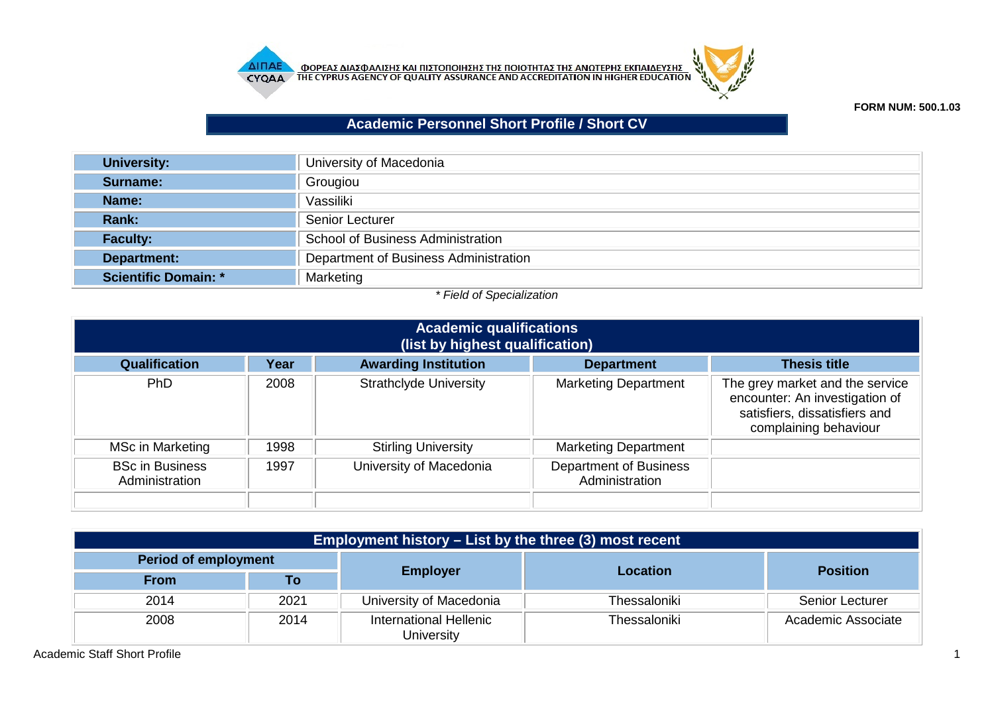



**FORM NUM: 500.1.03**

## **Academic Personnel Short Profile / Short CV**

| <b>University:</b>   | University of Macedonia               |
|----------------------|---------------------------------------|
| Surname:             | Grougiou                              |
| Name:                | Vassiliki                             |
| Rank:                | <b>Senior Lecturer</b>                |
| <b>Faculty:</b>      | School of Business Administration     |
| Department:          | Department of Business Administration |
| Scientific Domain: * | Marketing                             |

## *\* Field of Specialization*

| <b>Academic qualifications</b><br>(list by highest qualification) |                                                                                 |                               |                                                 |                                                                                                                             |  |  |
|-------------------------------------------------------------------|---------------------------------------------------------------------------------|-------------------------------|-------------------------------------------------|-----------------------------------------------------------------------------------------------------------------------------|--|--|
| Qualification                                                     | <b>Awarding Institution</b><br>Year<br><b>Thesis title</b><br><b>Department</b> |                               |                                                 |                                                                                                                             |  |  |
| PhD                                                               | 2008                                                                            | <b>Strathclyde University</b> | <b>Marketing Department</b>                     | The grey market and the service<br>encounter: An investigation of<br>satisfiers, dissatisfiers and<br>complaining behaviour |  |  |
| MSc in Marketing                                                  | 1998                                                                            | <b>Stirling University</b>    | <b>Marketing Department</b>                     |                                                                                                                             |  |  |
| <b>BSc in Business</b><br>Administration                          | 1997                                                                            | University of Macedonia       | <b>Department of Business</b><br>Administration |                                                                                                                             |  |  |
|                                                                   |                                                                                 |                               |                                                 |                                                                                                                             |  |  |

| <b>Employment history – List by the three (3) most recent</b> |      |                                      |              |                        |  |
|---------------------------------------------------------------|------|--------------------------------------|--------------|------------------------|--|
| <b>Period of employment</b>                                   |      |                                      |              | <b>Position</b>        |  |
| <b>From</b>                                                   | Τo   | <b>Employer</b>                      | Location     |                        |  |
| 2014                                                          | 2021 | University of Macedonia              | Thessaloniki | <b>Senior Lecturer</b> |  |
| 2008                                                          | 2014 | International Hellenic<br>University | Thessaloniki | Academic Associate     |  |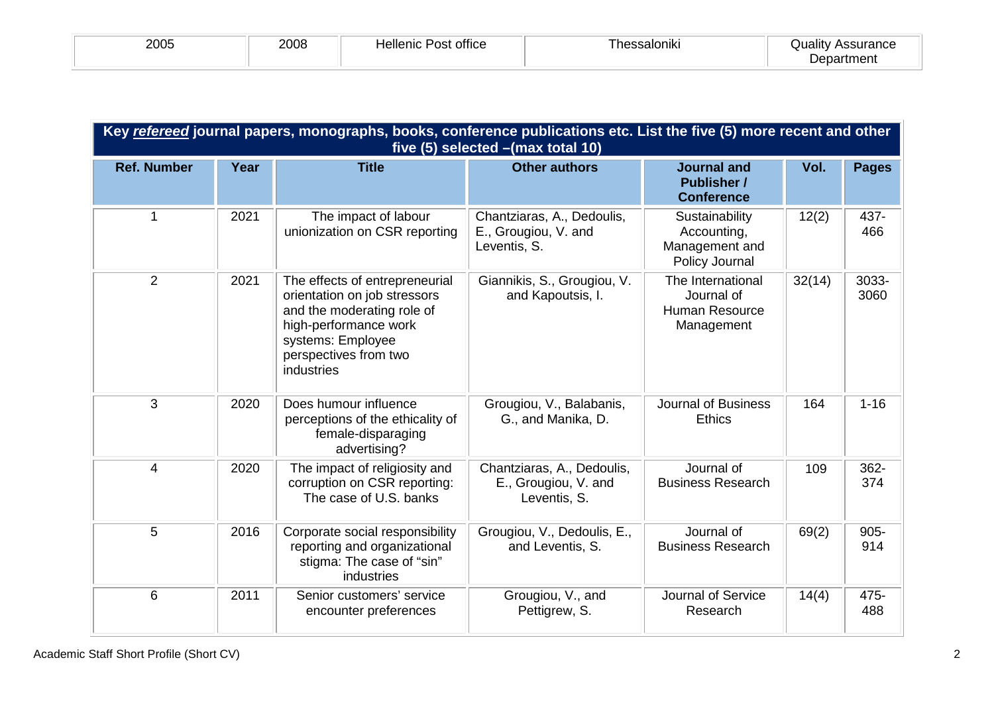| <b>OOOE</b><br><b>ZUU5</b> | 2008 | <br>Hellenic<br>Post office | <br>'hessaloniki | Quality<br>Assurance<br>Department |
|----------------------------|------|-----------------------------|------------------|------------------------------------|
|----------------------------|------|-----------------------------|------------------|------------------------------------|

| Key refereed journal papers, monographs, books, conference publications etc. List the five (5) more recent and other<br>five (5) selected - (max total 10) |      |                                                                                                                                                                                   |                                                                    |                                                                   |        |                |
|------------------------------------------------------------------------------------------------------------------------------------------------------------|------|-----------------------------------------------------------------------------------------------------------------------------------------------------------------------------------|--------------------------------------------------------------------|-------------------------------------------------------------------|--------|----------------|
| <b>Ref. Number</b>                                                                                                                                         | Year | <b>Title</b>                                                                                                                                                                      | <b>Other authors</b>                                               | <b>Journal and</b><br><b>Publisher /</b><br><b>Conference</b>     | Vol.   | <b>Pages</b>   |
| 1                                                                                                                                                          | 2021 | The impact of labour<br>unionization on CSR reporting                                                                                                                             | Chantziaras, A., Dedoulis,<br>E., Grougiou, V. and<br>Leventis, S. | Sustainability<br>Accounting,<br>Management and<br>Policy Journal | 12(2)  | 437-<br>466    |
| $\overline{2}$                                                                                                                                             | 2021 | The effects of entrepreneurial<br>orientation on job stressors<br>and the moderating role of<br>high-performance work<br>systems: Employee<br>perspectives from two<br>industries | Giannikis, S., Grougiou, V.<br>and Kapoutsis, I.                   | The International<br>Journal of<br>Human Resource<br>Management   | 32(14) | 3033-<br>3060  |
| 3                                                                                                                                                          | 2020 | Does humour influence<br>perceptions of the ethicality of<br>female-disparaging<br>advertising?                                                                                   | Grougiou, V., Balabanis,<br>G., and Manika, D.                     | <b>Journal of Business</b><br><b>Ethics</b>                       | 164    | $1 - 16$       |
| 4                                                                                                                                                          | 2020 | The impact of religiosity and<br>corruption on CSR reporting:<br>The case of U.S. banks                                                                                           | Chantziaras, A., Dedoulis,<br>E., Grougiou, V. and<br>Leventis, S. | Journal of<br><b>Business Research</b>                            | 109    | 362-<br>374    |
| 5                                                                                                                                                          | 2016 | Corporate social responsibility<br>reporting and organizational<br>stigma: The case of "sin"<br>industries                                                                        | Grougiou, V., Dedoulis, E.,<br>and Leventis, S.                    | Journal of<br><b>Business Research</b>                            | 69(2)  | $905 -$<br>914 |
| 6                                                                                                                                                          | 2011 | Senior customers' service<br>encounter preferences                                                                                                                                | Grougiou, V., and<br>Pettigrew, S.                                 | <b>Journal of Service</b><br>Research                             | 14(4)  | 475-<br>488    |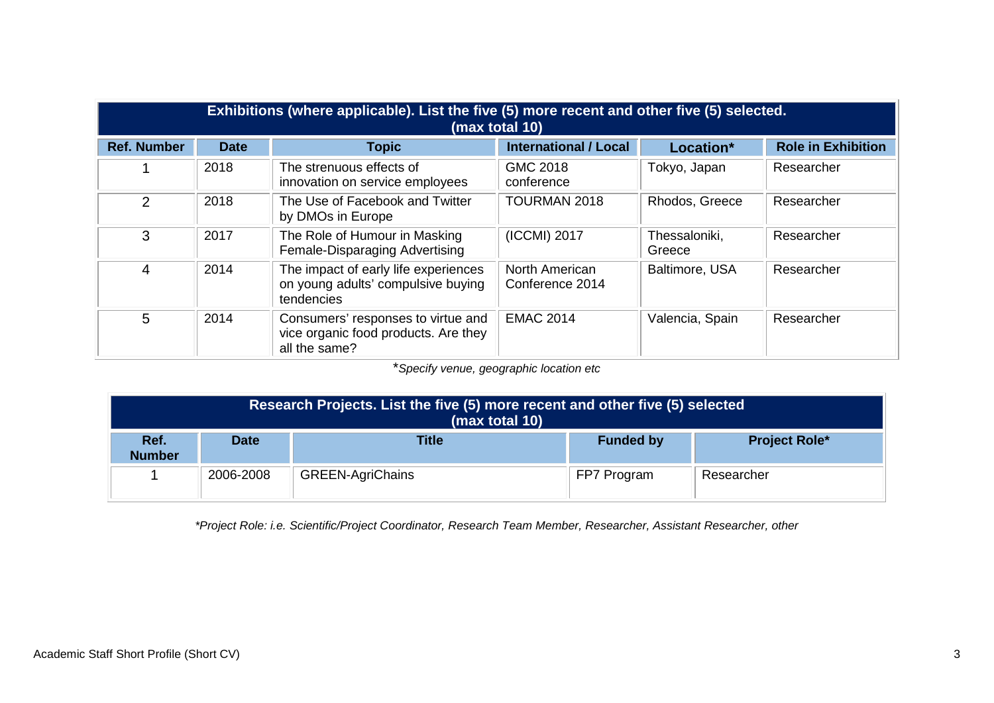| Exhibitions (where applicable). List the five (5) more recent and other five (5) selected.<br>(max total 10) |             |                                                                                             |                                   |                         |                           |
|--------------------------------------------------------------------------------------------------------------|-------------|---------------------------------------------------------------------------------------------|-----------------------------------|-------------------------|---------------------------|
| <b>Ref. Number</b>                                                                                           | <b>Date</b> | <b>Topic</b>                                                                                | <b>International / Local</b>      | Location*               | <b>Role in Exhibition</b> |
|                                                                                                              | 2018        | The strenuous effects of<br>innovation on service employees                                 | GMC 2018<br>conference            | Tokyo, Japan            | Researcher                |
| 2                                                                                                            | 2018        | The Use of Facebook and Twitter<br>by DMOs in Europe                                        | <b>TOURMAN 2018</b>               | Rhodos, Greece          | Researcher                |
| 3                                                                                                            | 2017        | The Role of Humour in Masking<br>Female-Disparaging Advertising                             | (ICCMI) 2017                      | Thessaloniki,<br>Greece | Researcher                |
| 4                                                                                                            | 2014        | The impact of early life experiences<br>on young adults' compulsive buying<br>tendencies    | North American<br>Conference 2014 | Baltimore, USA          | Researcher                |
| 5                                                                                                            | 2014        | Consumers' responses to virtue and<br>vice organic food products. Are they<br>all the same? | <b>EMAC 2014</b>                  | Valencia, Spain         | Researcher                |

\**Specify venue, geographic location etc*

| Research Projects. List the five (5) more recent and other five (5) selected<br>(max total 10) |                                                                         |                         |             |            |  |
|------------------------------------------------------------------------------------------------|-------------------------------------------------------------------------|-------------------------|-------------|------------|--|
| Ref.<br><b>Number</b>                                                                          | <b>Title</b><br><b>Project Role*</b><br><b>Funded by</b><br><b>Date</b> |                         |             |            |  |
|                                                                                                | 2006-2008                                                               | <b>GREEN-AgriChains</b> | FP7 Program | Researcher |  |

*\*Project Role: i.e. Scientific/Project Coordinator, Research Team Member, Researcher, Assistant Researcher, other*